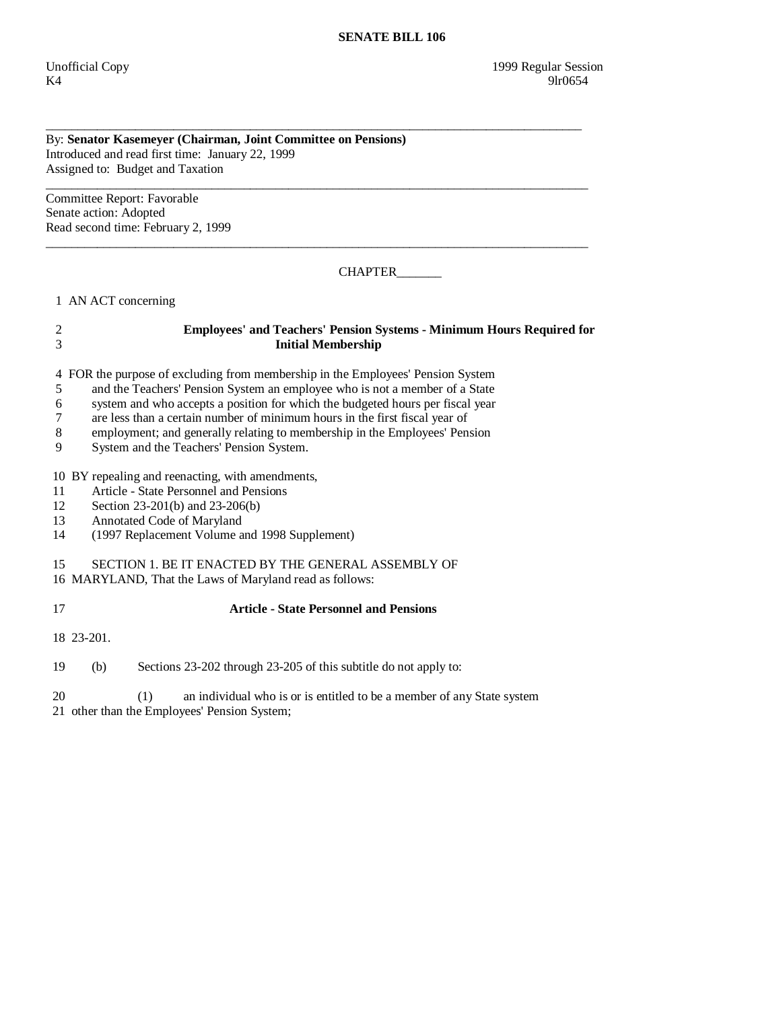### By: **Senator Kasemeyer (Chairman, Joint Committee on Pensions)**  Introduced and read first time: January 22, 1999 Assigned to: Budget and Taxation

\_\_\_\_\_\_\_\_\_\_\_\_\_\_\_\_\_\_\_\_\_\_\_\_\_\_\_\_\_\_\_\_\_\_\_\_\_\_\_\_\_\_\_\_\_\_\_\_\_\_\_\_\_\_\_\_\_\_\_\_\_\_\_\_\_\_\_\_\_\_\_\_\_\_\_\_\_\_\_\_\_\_\_\_\_ Committee Report: Favorable Senate action: Adopted Read second time: February 2, 1999

CHAPTER\_\_\_\_\_\_\_

1 AN ACT concerning

# 2 **Employees' and Teachers' Pension Systems - Minimum Hours Required for**  3 **Initial Membership**

\_\_\_\_\_\_\_\_\_\_\_\_\_\_\_\_\_\_\_\_\_\_\_\_\_\_\_\_\_\_\_\_\_\_\_\_\_\_\_\_\_\_\_\_\_\_\_\_\_\_\_\_\_\_\_\_\_\_\_\_\_\_\_\_\_\_\_\_\_\_\_\_\_\_\_\_\_\_\_\_\_\_\_\_\_

\_\_\_\_\_\_\_\_\_\_\_\_\_\_\_\_\_\_\_\_\_\_\_\_\_\_\_\_\_\_\_\_\_\_\_\_\_\_\_\_\_\_\_\_\_\_\_\_\_\_\_\_\_\_\_\_\_\_\_\_\_\_\_\_\_\_\_\_\_\_\_\_\_\_\_\_\_\_\_\_\_\_\_\_

4 FOR the purpose of excluding from membership in the Employees' Pension System

- 5 and the Teachers' Pension System an employee who is not a member of a State
- 6 system and who accepts a position for which the budgeted hours per fiscal year
- 7 are less than a certain number of minimum hours in the first fiscal year of
- 8 employment; and generally relating to membership in the Employees' Pension
- 9 System and the Teachers' Pension System.

# 10 BY repealing and reenacting, with amendments,

- 11 Article State Personnel and Pensions
- 12 Section 23-201(b) and 23-206(b)
- 13 Annotated Code of Maryland
- 14 (1997 Replacement Volume and 1998 Supplement)

# 15 SECTION 1. BE IT ENACTED BY THE GENERAL ASSEMBLY OF

- 16 MARYLAND, That the Laws of Maryland read as follows:
- 17 **Article State Personnel and Pensions**

18 23-201.

19 (b) Sections 23-202 through 23-205 of this subtitle do not apply to:

 20 (1) an individual who is or is entitled to be a member of any State system 21 other than the Employees' Pension System;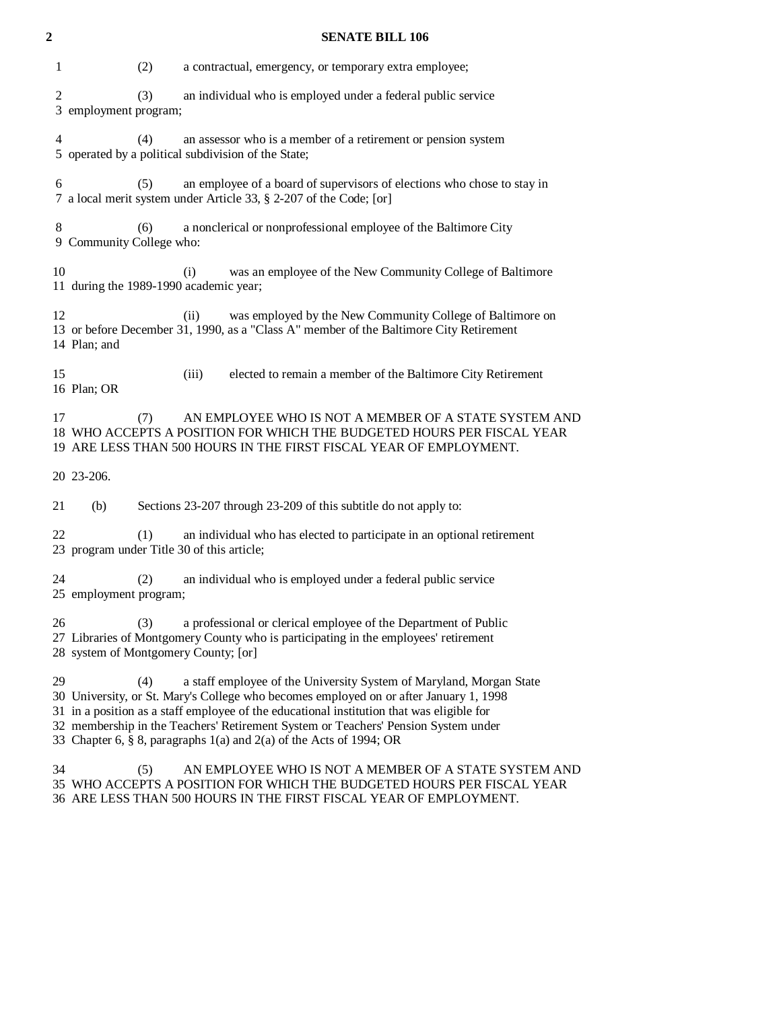# **2 SENATE BILL 106**

| 1              | (2)                                               | a contractual, emergency, or temporary extra employee;                                                                                                                                                                                                                                                                                                                                                                 |
|----------------|---------------------------------------------------|------------------------------------------------------------------------------------------------------------------------------------------------------------------------------------------------------------------------------------------------------------------------------------------------------------------------------------------------------------------------------------------------------------------------|
| $\overline{c}$ | (3)<br>3 employment program;                      | an individual who is employed under a federal public service                                                                                                                                                                                                                                                                                                                                                           |
| 4              | (4)                                               | an assessor who is a member of a retirement or pension system<br>5 operated by a political subdivision of the State;                                                                                                                                                                                                                                                                                                   |
| 6              | (5)                                               | an employee of a board of supervisors of elections who chose to stay in<br>7 a local merit system under Article 33, § 2-207 of the Code; [or]                                                                                                                                                                                                                                                                          |
| 8              | (6)<br>9 Community College who:                   | a nonclerical or nonprofessional employee of the Baltimore City                                                                                                                                                                                                                                                                                                                                                        |
| 10             | 11 during the 1989-1990 academic year;            | was an employee of the New Community College of Baltimore<br>(i)                                                                                                                                                                                                                                                                                                                                                       |
| 12             | 14 Plan; and                                      | was employed by the New Community College of Baltimore on<br>(ii)<br>13 or before December 31, 1990, as a "Class A" member of the Baltimore City Retirement                                                                                                                                                                                                                                                            |
| 15             | 16 Plan; OR                                       | (iii)<br>elected to remain a member of the Baltimore City Retirement                                                                                                                                                                                                                                                                                                                                                   |
| 17             | (7)                                               | AN EMPLOYEE WHO IS NOT A MEMBER OF A STATE SYSTEM AND<br>18 WHO ACCEPTS A POSITION FOR WHICH THE BUDGETED HOURS PER FISCAL YEAR<br>19 ARE LESS THAN 500 HOURS IN THE FIRST FISCAL YEAR OF EMPLOYMENT.                                                                                                                                                                                                                  |
|                | 20 23-206.                                        |                                                                                                                                                                                                                                                                                                                                                                                                                        |
| 21             | (b)                                               | Sections 23-207 through 23-209 of this subtitle do not apply to:                                                                                                                                                                                                                                                                                                                                                       |
| 22             | (1)<br>23 program under Title 30 of this article; | an individual who has elected to participate in an optional retirement                                                                                                                                                                                                                                                                                                                                                 |
| 24             | (2)<br>25 employment program;                     | an individual who is employed under a federal public service                                                                                                                                                                                                                                                                                                                                                           |
| 26             | (3)<br>28 system of Montgomery County; [or]       | a professional or clerical employee of the Department of Public<br>27 Libraries of Montgomery County who is participating in the employees' retirement                                                                                                                                                                                                                                                                 |
| 29             | (4)                                               | a staff employee of the University System of Maryland, Morgan State<br>30 University, or St. Mary's College who becomes employed on or after January 1, 1998<br>31 in a position as a staff employee of the educational institution that was eligible for<br>32 membership in the Teachers' Retirement System or Teachers' Pension System under<br>33 Chapter 6, § 8, paragraphs 1(a) and 2(a) of the Acts of 1994; OR |
| 34             | (5)                                               | AN EMPLOYEE WHO IS NOT A MEMBER OF A STATE SYSTEM AND<br>35 WHO ACCEPTS A POSITION FOR WHICH THE BUDGETED HOURS PER FISCAL YEAR                                                                                                                                                                                                                                                                                        |

36 ARE LESS THAN 500 HOURS IN THE FIRST FISCAL YEAR OF EMPLOYMENT.